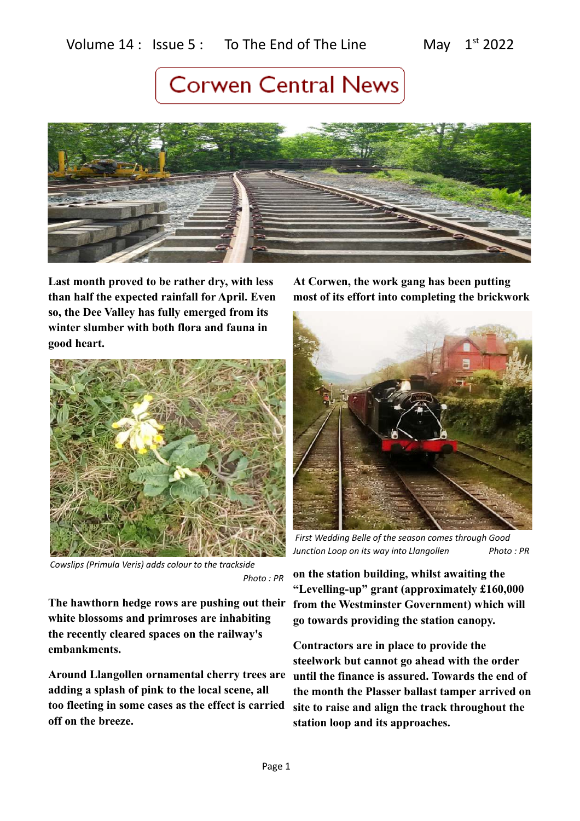

**Last month proved to be rather dry, with less than half the expected rainfall for April. Even so, the Dee Valley has fully emerged from its winter slumber with both flora and fauna in good heart.** 



*Cowslips (Primula Veris) adds colour to the trackside Photo : PR*

**The hawthorn hedge rows are pushing out their white blossoms and primroses are inhabiting the recently cleared spaces on the railway's embankments.** 

**Around Llangollen ornamental cherry trees are adding a splash of pink to the local scene, all too fleeting in some cases as the effect is carried off on the breeze.** 

**At Corwen, the work gang has been putting most of its effort into completing the brickwork**



 *First Wedding Belle of the season comes through Good Junction Loop on its way into Llangollen Photo : PR* 

**on the station building, whilst awaiting the "Levelling-up" grant (approximately £160,000 from the Westminster Government) which will go towards providing the station canopy.** 

**Contractors are in place to provide the steelwork but cannot go ahead with the order until the finance is assured. Towards the end of the month the Plasser ballast tamper arrived on site to raise and align the track throughout the station loop and its approaches.**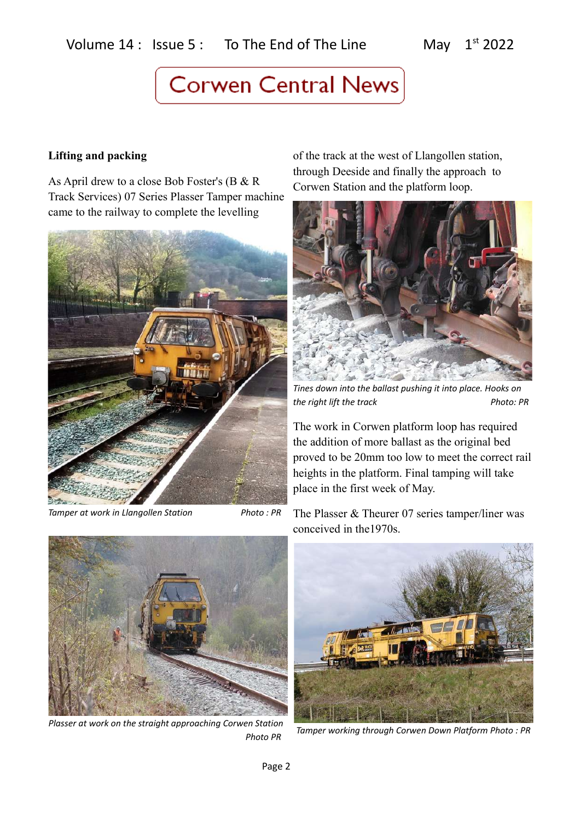### **Lifting and packing**

As April drew to a close Bob Foster's (B & R Track Services) 07 Series Plasser Tamper machine came to the railway to complete the levelling



*Tamper at work in Llangollen Station* Photo : PR

of the track at the west of Llangollen station, through Deeside and finally the approach to Corwen Station and the platform loop.



*Tines down into the ballast pushing it into place. Hooks on the right lift the track* Photo: PR

The work in Corwen platform loop has required the addition of more ballast as the original bed proved to be 20mm too low to meet the correct rail heights in the platform. Final tamping will take place in the first week of May.

The Plasser & Theurer 07 series tamper/liner was conceived in the1970s.



*Plasser at work on the straight approaching Corwen Station Photo PR*



 *Tamper working through Corwen Down Platform Photo : PR*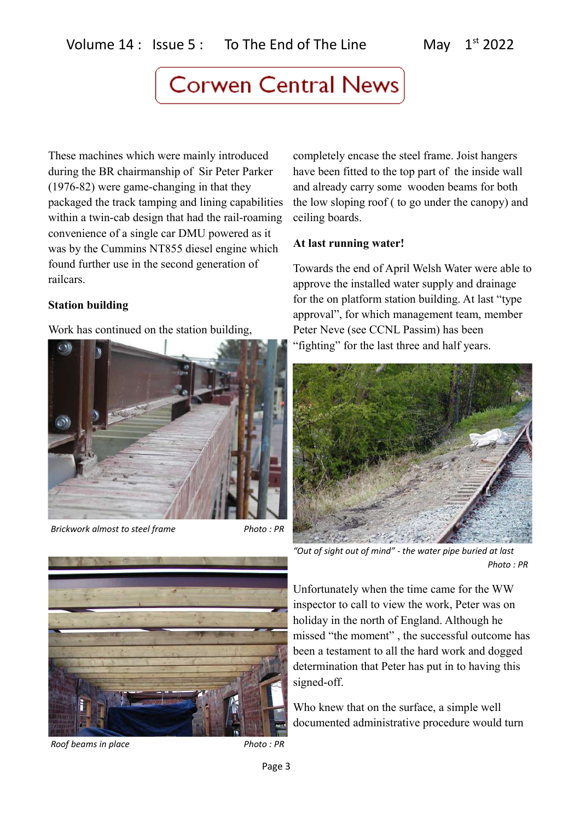These machines which were mainly introduced during the BR chairmanship of Sir Peter Parker (1976-82) were game-changing in that they packaged the track tamping and lining capabilities within a twin-cab design that had the rail-roaming convenience of a single car DMU powered as it was by the Cummins NT855 diesel engine which found further use in the second generation of railcars.

### **Station building**

Work has continued on the station building,



*Brickwork almost to steel frame* Photo: PR



*Roof beams in place* Photo : PR

completely encase the steel frame. Joist hangers have been fitted to the top part of the inside wall and already carry some wooden beams for both the low sloping roof ( to go under the canopy) and ceiling boards.

### **At last running water!**

Towards the end of April Welsh Water were able to approve the installed water supply and drainage for the on platform station building. At last "type approval", for which management team, member Peter Neve (see CCNL Passim) has been "fighting" for the last three and half years.



*"Out of sight out of mind" - the water pipe buried at last Photo : PR*

Unfortunately when the time came for the WW inspector to call to view the work, Peter was on holiday in the north of England. Although he missed "the moment" , the successful outcome has been a testament to all the hard work and dogged determination that Peter has put in to having this signed-off.

Who knew that on the surface, a simple well documented administrative procedure would turn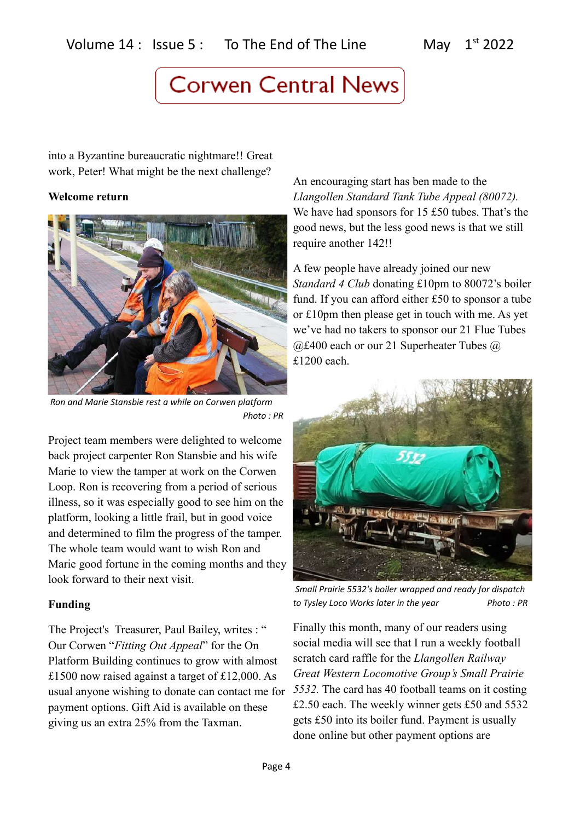into a Byzantine bureaucratic nightmare!! Great work, Peter! What might be the next challenge?

#### **Welcome return**



 *Ron and Marie Stansbie rest a while on Corwen platform Photo : PR*

Project team members were delighted to welcome back project carpenter Ron Stansbie and his wife Marie to view the tamper at work on the Corwen Loop. Ron is recovering from a period of serious illness, so it was especially good to see him on the platform, looking a little frail, but in good voice and determined to film the progress of the tamper. The whole team would want to wish Ron and Marie good fortune in the coming months and they look forward to their next visit.

#### **Funding**

The Project's Treasurer, Paul Bailey, writes : " Our Corwen "*Fitting Out Appeal*" for the On Platform Building continues to grow with almost £1500 now raised against a target of £12,000. As usual anyone wishing to donate can contact me for payment options. Gift Aid is available on these giving us an extra 25% from the Taxman.

An encouraging start has ben made to the *Llangollen Standard Tank Tube Appeal (80072).*  We have had sponsors for 15 £50 tubes. That's the good news, but the less good news is that we still require another 142!!

A few people have already joined our new *Standard 4 Club* donating £10pm to 80072's boiler fund. If you can afford either £50 to sponsor a tube or £10pm then please get in touch with me. As yet we've had no takers to sponsor our 21 Flue Tubes @£400 each or our 21 Superheater Tubes @ £1200 each.



 *Small Prairie 5532's boiler wrapped and ready for dispatch*  to Tysley Loco Works later in the year Photo : PR

Finally this month, many of our readers using social media will see that I run a weekly football scratch card raffle for the *Llangollen Railway Great Western Locomotive Group's Small Prairie 5532.* The card has 40 football teams on it costing £2.50 each. The weekly winner gets £50 and 5532 gets £50 into its boiler fund. Payment is usually done online but other payment options are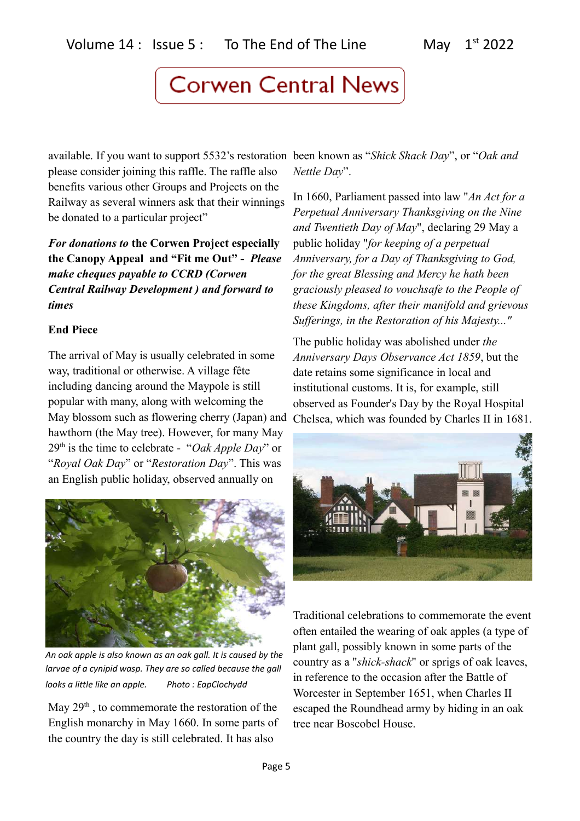available. If you want to support 5532's restoration been known as "*Shick Shack Day*", or "*Oak and*  please consider joining this raffle. The raffle also benefits various other Groups and Projects on the Railway as several winners ask that their winnings be donated to a particular project"

*For donations to* **the Corwen Project especially the Canopy Appeal and "Fit me Out" -** *Please make cheques payable to CCRD (Corwen Central Railway Development ) and forward to times*

### **End Piece**

The arrival of May is usually celebrated in some way, traditional or otherwise. A village fête including dancing around the Maypole is still popular with many, along with welcoming the May blossom such as flowering cherry (Japan) and hawthorn (the May tree). However, for many May 29th is the time to celebrate - "*Oak Apple Day*" or "*Royal Oak Day*" or "*Restoration Day*". This was an English public holiday, observed annually on



*An oak apple is also known as an oak gall. It is caused by the larvae of a cynipid wasp. They are so called because the gall looks a little like an apple. Photo : EapClochydd*

May  $29<sup>th</sup>$ , to commemorate the restoration of the English monarchy in May 1660. In some parts of the country the day is still celebrated. It has also

*Nettle Day*".

In 1660, Parliament passed into law "*An Act for a Perpetual Anniversary Thanksgiving on the Nine and Twentieth Day of May*", declaring 29 May a public holiday "*for keeping of a perpetual Anniversary, for a Day of Thanksgiving to God, for the great Blessing and Mercy he hath been graciously pleased to vouchsafe to the People of these Kingdoms, after their manifold and grievous Sufferings, in the Restoration of his Majesty..."*

The public holiday was abolished under *the Anniversary Days Observance Act 1859*, but the date retains some significance in local and institutional customs. It is, for example, still observed as Founder's Day by the Royal Hospital Chelsea, which was founded by Charles II in 1681.



Traditional celebrations to commemorate the event often entailed the wearing of oak apples (a type of plant gall, possibly known in some parts of the country as a "*shick-shack*" or sprigs of oak leaves, in reference to the occasion after the Battle of Worcester in September 1651, when Charles II escaped the Roundhead army by hiding in an oak tree near Boscobel House.